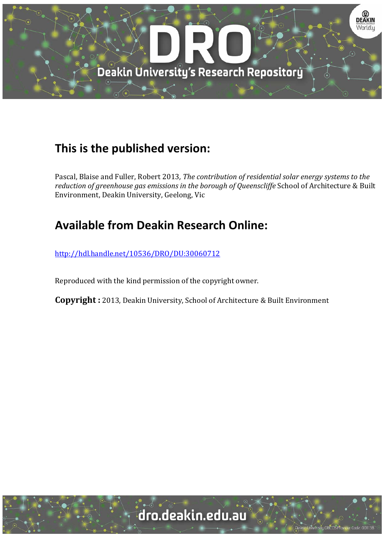

## **This is the published version:**

Pascal, Blaise and Fuller, Robert 2013*, The contribution of residential solar energy systems to the reduction of greenhouse gas emissions in the borough of Queenscliffe* School of Architecture & Built Environment, Deakin University, Geelong, Vic

## **Available from Deakin Research Online:**

http://hdl.handle.net/10536/DRO/DU:30060712

Reproduced with the kind permission of the copyright owner.

**Copyright** : 2013, Deakin University, School of Architecture & Built Environment

# dro.deakin.edu.au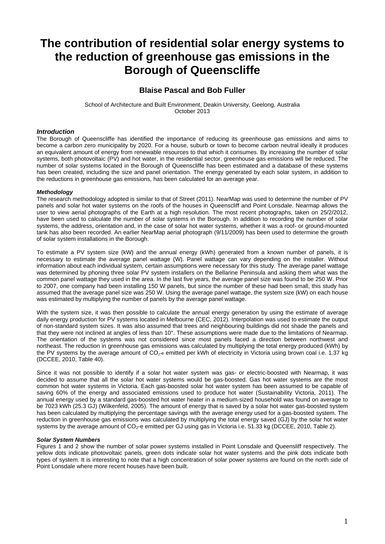## **The contribution of residential solar energy systems to the reduction of greenhouse gas emissions in the Borough of Queenscliffe**

### **Blaise Pascal and Bob Fuller**

School of Architecture and Built Environment, Deakin University, Geelong, Australia October 2013

#### *Introduction*

The Borough of Queenscliffe has identified the importance of reducing its greenhouse gas emissions and aims to become a carbon zero municipality by 2020. For a house, suburb or town to become carbon neutral ideally it produces an equivalent amount of energy from renewable resources to that which it consumes. By increasing the number of solar systems, both photovoltaic (PV) and hot water, in the residential sector, greenhouse gas emissions will be reduced. The number of solar systems located in the Borough of Queenscliffe has been estimated and a database of these systems has been created, including the size and panel orientation. The energy generated by each solar system, in addition to the reductions in greenhouse gas emissions, has been calculated for an average year.

#### *Methodology*

The research methodology adopted is similar to that of Street (2011). NearMap was used to determine the number of PV panels and solar hot water systems on the roofs of the houses in Queenscliff and Point Lonsdale. Nearmap allows the user to view aerial photographs of the Earth at a high resolution. The most recent photographs, taken on 25/2/2012, have been used to calculate the number of solar systems in the Borough. In addition to recording the number of solar systems, the address, orientation and, in the case of solar hot water systems, whether it was a roof- or ground-mounted tank has also been recorded. An earlier NearMap aerial photograph (9/11/2009) has been used to determine the growth of solar system installations in the Borough.

To estimate a PV system size (kW) and the annual energy (kWh) generated from a known number of panels, it is necessary to estimate the average panel wattage (W). Panel wattage can vary depending on the installer. Without information about each individual system, certain assumptions were necessary for this study. The average panel wattage was determined by phoning three solar PV system installers on the Bellarine Peninsula and asking them what was the common panel wattage they used in the area. In the last five years, the average panel size was found to be 250 W. Prior to 2007, one company had been installing 150 W panels, but since the number of these had been small, this study has assumed that the average panel size was 250 W. Using the average panel wattage, the system size (kW) on each house was estimated by multiplying the number of panels by the average panel wattage.

With the system size, it was then possible to calculate the annual energy generation by using the estimate of average daily energy production for PV systems located in Melbourne (CEC, 2012). Interpolation was used to estimate the output of non-standard system sizes. It was also assumed that trees and neighbouring buildings did not shade the panels and that they were not inclined at angles of less than 10°. These assumptions were made due to the limitations of Nearmap. The orientation of the systems was not considered since most panels faced a direction between northwest and northeast. The reduction in greenhouse gas emissions was calculated by multiplying the total energy produced (kWh) by the PV systems by the average amount of CO<sub>2-e</sub> emitted per kWh of electricity in Victoria using brown coal i.e. 1.37 kg (DCCEE, 2010, Table 40).

Since it was not possible to identify if a solar hot water system was gas- or electric-boosted with Nearmap, it was decided to assume that all the solar hot water systems would be gas-boosted. Gas hot water systems are the most common hot water systems in Victoria. Each gas-boosted solar hot water system has been assumed to be capable of saving 60% of the energy and associated emissions used to produce hot water (Sustainability Victoria, 2011). The annual energy used by a standard gas-boosted hot water heater in a medium-sized household was found on average to be 7023 kWh (25.3 GJ) (Wilkenfeld, 2005). The amount of energy that is saved by a solar hot water gas-boosted system has been calculated by multiplying the percentage savings with the average energy used for a gas-boosted system. The reduction in greenhouse gas emissions was calculated by multiplying the total energy saved (GJ) by the solar hot water systems by the average amount of CO<sub>2</sub>-e emitted per GJ using gas in Victoria i.e. 51.33 kg (DCCEE, 2010, Table 2).

#### *Solar System Numbers*

Figures 1 and 2 show the number of solar power systems installed in Point Lonsdale and Queensliff respectively. The yellow dots indicate photovoltaic panels, green dots indicate solar hot water systems and the pink dots indicate both types of system. It is interesting to note that a high concentration of solar power systems are found on the north side of Point Lonsdale where more recent houses have been built.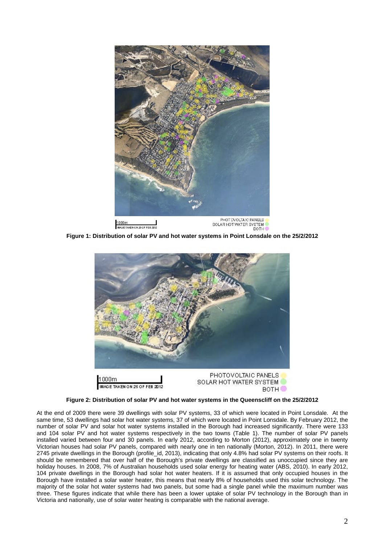

**Figure 1: Distribution of solar PV and hot water systems in Point Lonsdale on the 25/2/2012**



**Figure 2: Distribution of solar PV and hot water systems in the Queenscliff on the 25/2/2012**

At the end of 2009 there were 39 dwellings with solar PV systems, 33 of which were located in Point Lonsdale. At the same time, 53 dwellings had solar hot water systems, 37 of which were located in Point Lonsdale. By February 2012, the number of solar PV and solar hot water systems installed in the Borough had increased significantly. There were 133 and 104 solar PV and hot water systems respectively in the two towns (Table 1). The number of solar PV panels installed varied between four and 30 panels. In early 2012, according to Morton (2012), approximately one in twenty Victorian houses had solar PV panels, compared with nearly one in ten nationally (Morton, 2012). In 2011, there were 2745 private dwellings in the Borough (profile\_id, 2013), indicating that only 4.8% had solar PV systems on their roofs. It should be remembered that over half of the Borough's private dwellings are classified as unoccupied since they are holiday houses. In 2008, 7% of Australian households used solar energy for heating water (ABS, 2010). In early 2012, 104 private dwellings in the Borough had solar hot water heaters. If it is assumed that only occupied houses in the Borough have installed a solar water heater, this means that nearly 8% of households used this solar technology. The majority of the solar hot water systems had two panels, but some had a single panel while the maximum number was three. These figures indicate that while there has been a lower uptake of solar PV technology in the Borough than in Victoria and nationally, use of solar water heating is comparable with the national average.